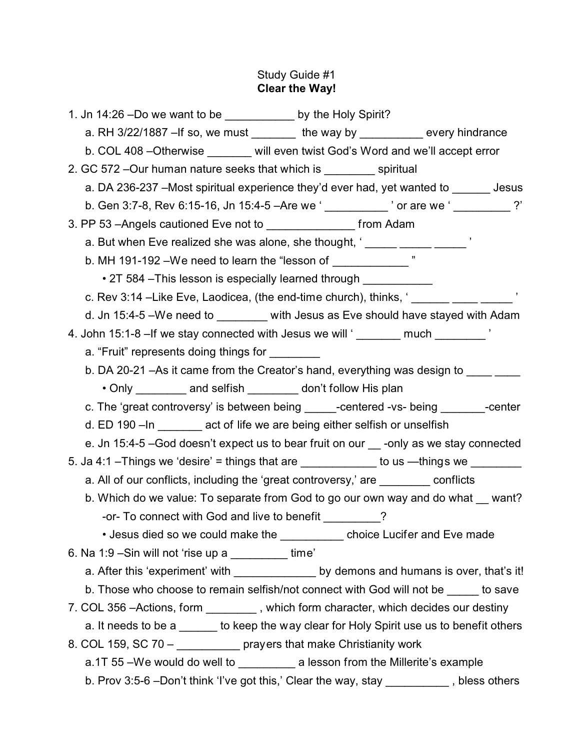# Study Guide #1 **Clear the Way!**

| 1. Jn 14:26 -Do we want to be ____________ by the Holy Spirit?                                                                  |                                                                                           |  |
|---------------------------------------------------------------------------------------------------------------------------------|-------------------------------------------------------------------------------------------|--|
| a. RH 3/22/1887 - If so, we must $\frac{1}{\sqrt{1-\frac{1}{2}}}\$ the way by $\frac{1}{\sqrt{1-\frac{1}{2}}}\$ every hindrance |                                                                                           |  |
| b. COL 408 - Otherwise _______ will even twist God's Word and we'll accept error                                                |                                                                                           |  |
| 2. GC 572 - Our human nature seeks that which is spiritual                                                                      |                                                                                           |  |
|                                                                                                                                 | a. DA 236-237 - Most spiritual experience they'd ever had, yet wanted to _______ Jesus    |  |
|                                                                                                                                 |                                                                                           |  |
| 3. PP 53 - Angels cautioned Eve not to _________________________ from Adam                                                      |                                                                                           |  |
| a. But when Eve realized she was alone, she thought, ' ______ _____ ______                                                      |                                                                                           |  |
| b. MH 191-192 - We need to learn the "lesson of _____________                                                                   |                                                                                           |  |
| • 2T 584 - This lesson is especially learned through ___________________________                                                |                                                                                           |  |
|                                                                                                                                 | c. Rev 3:14 -Like Eve, Laodicea, (the end-time church), thinks, ' ______ ____ _____ '     |  |
|                                                                                                                                 | d. Jn 15:4-5 - We need to ________ with Jesus as Eve should have stayed with Adam         |  |
| 4. John 15:1-8 - If we stay connected with Jesus we will ' _______ much ________ '                                              |                                                                                           |  |
| a. "Fruit" represents doing things for                                                                                          |                                                                                           |  |
|                                                                                                                                 | b. DA 20-21 - As it came from the Creator's hand, everything was design to ______         |  |
| • Only __________ and selfish _________ don't follow His plan                                                                   |                                                                                           |  |
|                                                                                                                                 | c. The 'great controversy' is between being ______-centered -vs- being ________-center    |  |
| d. ED 190 - In ________ act of life we are being either selfish or unselfish                                                    |                                                                                           |  |
|                                                                                                                                 | e. Jn 15:4-5 - God doesn't expect us to bear fruit on our solly as we stay connected      |  |
|                                                                                                                                 |                                                                                           |  |
| a. All of our conflicts, including the 'great controversy,' are _________ conflicts                                             |                                                                                           |  |
|                                                                                                                                 | b. Which do we value: To separate from God to go our own way and do what want?            |  |
| -or- To connect with God and live to benefit ________?                                                                          |                                                                                           |  |
|                                                                                                                                 | • Jesus died so we could make the ___________ choice Lucifer and Eve made                 |  |
| 6. Na 1:9 - Sin will not 'rise up a __________time'                                                                             |                                                                                           |  |
|                                                                                                                                 | a. After this 'experiment' with _______________ by demons and humans is over, that's it!  |  |
|                                                                                                                                 | b. Those who choose to remain selfish/not connect with God will not be _____ to save      |  |
| 7. COL 356 - Actions, form ________, which form character, which decides our destiny                                            |                                                                                           |  |
|                                                                                                                                 | a. It needs to be a ______ to keep the way clear for Holy Spirit use us to benefit others |  |
| 8. COL 159, SC 70 - ____________ prayers that make Christianity work                                                            |                                                                                           |  |
| a.1T 55 -We would do well to __________ a lesson from the Millerite's example                                                   |                                                                                           |  |
|                                                                                                                                 | b. Prov 3:5-6 -Don't think 'I've got this,' Clear the way, stay _________, bless others   |  |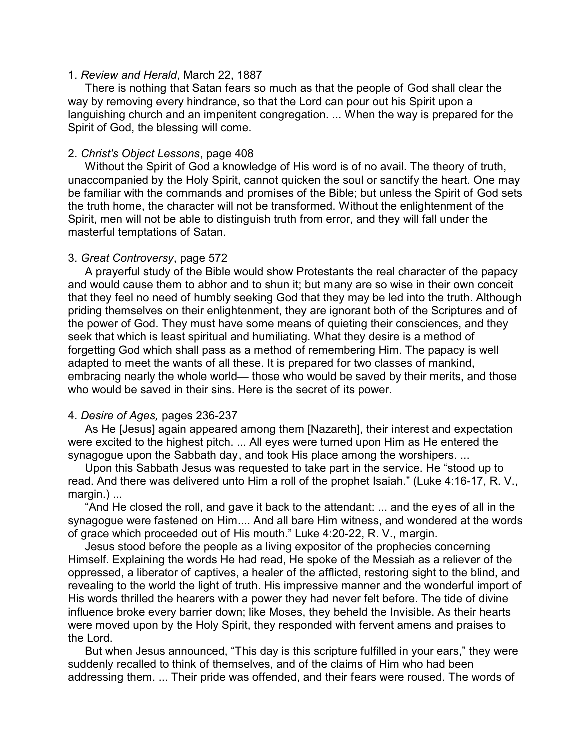## 1. *Review and Herald*, March 22, 1887

There is nothing that Satan fears so much as that the people of God shall clear the way by removing every hindrance, so that the Lord can pour out his Spirit upon a languishing church and an impenitent congregation. ... When the way is prepared for the Spirit of God, the blessing will come.

## 2. *Christ's Object Lessons*, page 408

Without the Spirit of God a knowledge of His word is of no avail. The theory of truth, unaccompanied by the Holy Spirit, cannot quicken the soul or sanctify the heart. One may be familiar with the commands and promises of the Bible; but unless the Spirit of God sets the truth home, the character will not be transformed. Without the enlightenment of the Spirit, men will not be able to distinguish truth from error, and they will fall under the masterful temptations of Satan.

## 3. *Great Controversy*, page 572

A prayerful study of the Bible would show Protestants the real character of the papacy and would cause them to abhor and to shun it; but many are so wise in their own conceit that they feel no need of humbly seeking God that they may be led into the truth. Although priding themselves on their enlightenment, they are ignorant both of the Scriptures and of the power of God. They must have some means of quieting their consciences, and they seek that which is least spiritual and humiliating. What they desire is a method of forgetting God which shall pass as a method of remembering Him. The papacy is well adapted to meet the wants of all these. It is prepared for two classes of mankind, embracing nearly the whole world— those who would be saved by their merits, and those who would be saved in their sins. Here is the secret of its power.

# 4. *Desire of Ages,* pages 236-237

As He [Jesus] again appeared among them [Nazareth], their interest and expectation were excited to the highest pitch. ... All eyes were turned upon Him as He entered the synagogue upon the Sabbath day, and took His place among the worshipers. ...

Upon this Sabbath Jesus was requested to take part in the service. He "stood up to read. And there was delivered unto Him a roll of the prophet Isaiah." (Luke 4:16-17, R. V., margin.) ...

"And He closed the roll, and gave it back to the attendant: ... and the eyes of all in the synagogue were fastened on Him.... And all bare Him witness, and wondered at the words of grace which proceeded out of His mouth." Luke 4:20-22, R. V., margin.

Jesus stood before the people as a living expositor of the prophecies concerning Himself. Explaining the words He had read, He spoke of the Messiah as a reliever of the oppressed, a liberator of captives, a healer of the afflicted, restoring sight to the blind, and revealing to the world the light of truth. His impressive manner and the wonderful import of His words thrilled the hearers with a power they had never felt before. The tide of divine influence broke every barrier down; like Moses, they beheld the Invisible. As their hearts were moved upon by the Holy Spirit, they responded with fervent amens and praises to the Lord.

But when Jesus announced, "This day is this scripture fulfilled in your ears," they were suddenly recalled to think of themselves, and of the claims of Him who had been addressing them. ... Their pride was offended, and their fears were roused. The words of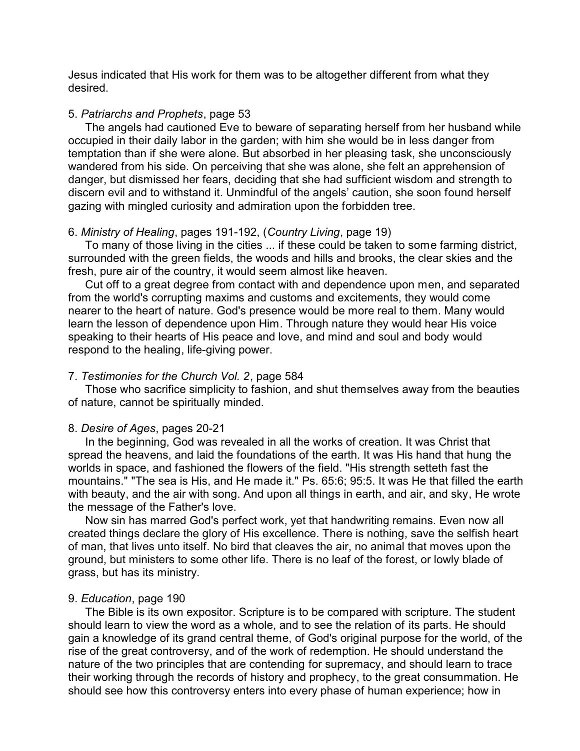Jesus indicated that His work for them was to be altogether different from what they desired.

#### 5. *Patriarchs and Prophets*, page 53

The angels had cautioned Eve to beware of separating herself from her husband while occupied in their daily labor in the garden; with him she would be in less danger from temptation than if she were alone. But absorbed in her pleasing task, she unconsciously wandered from his side. On perceiving that she was alone, she felt an apprehension of danger, but dismissed her fears, deciding that she had sufficient wisdom and strength to discern evil and to withstand it. Unmindful of the angels' caution, she soon found herself gazing with mingled curiosity and admiration upon the forbidden tree.

#### 6. *Ministry of Healing*, pages 191-192, (*Country Living*, page 19)

To many of those living in the cities ... if these could be taken to some farming district, surrounded with the green fields, the woods and hills and brooks, the clear skies and the fresh, pure air of the country, it would seem almost like heaven.

Cut off to a great degree from contact with and dependence upon men, and separated from the world's corrupting maxims and customs and excitements, they would come nearer to the heart of nature. God's presence would be more real to them. Many would learn the lesson of dependence upon Him. Through nature they would hear His voice speaking to their hearts of His peace and love, and mind and soul and body would respond to the healing, life-giving power.

## 7. *Testimonies for the Church Vol. 2*, page 584

Those who sacrifice simplicity to fashion, and shut themselves away from the beauties of nature, cannot be spiritually minded.

#### 8. *Desire of Ages*, pages 20-21

In the beginning, God was revealed in all the works of creation. It was Christ that spread the heavens, and laid the foundations of the earth. It was His hand that hung the worlds in space, and fashioned the flowers of the field. "His strength setteth fast the mountains." "The sea is His, and He made it." Ps. 65:6; 95:5. It was He that filled the earth with beauty, and the air with song. And upon all things in earth, and air, and sky, He wrote the message of the Father's love.

Now sin has marred God's perfect work, yet that handwriting remains. Even now all created things declare the glory of His excellence. There is nothing, save the selfish heart of man, that lives unto itself. No bird that cleaves the air, no animal that moves upon the ground, but ministers to some other life. There is no leaf of the forest, or lowly blade of grass, but has its ministry.

#### 9. *Education*, page 190

The Bible is its own expositor. Scripture is to be compared with scripture. The student should learn to view the word as a whole, and to see the relation of its parts. He should gain a knowledge of its grand central theme, of God's original purpose for the world, of the rise of the great controversy, and of the work of redemption. He should understand the nature of the two principles that are contending for supremacy, and should learn to trace their working through the records of history and prophecy, to the great consummation. He should see how this controversy enters into every phase of human experience; how in